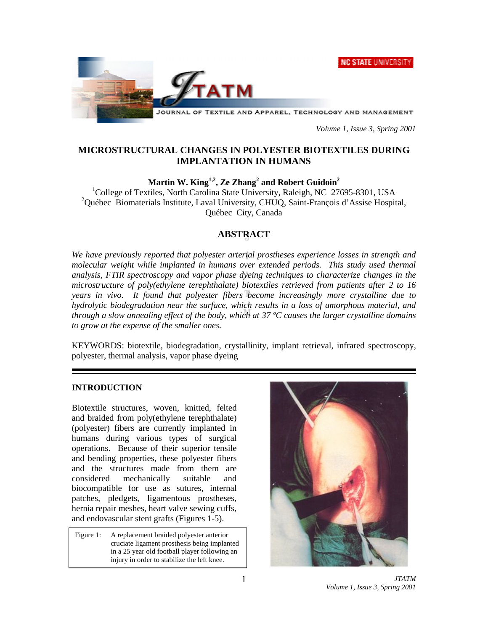**NC STATE UNIVERSITY** 



JOURNAL OF TEXTILE AND APPAREL, TECHNOLOGY AND MANAGEMENT

*Volume 1, Issue 3, Spring 2001*

# **MICROSTRUCTURAL CHANGES IN POLYESTER BIOTEXTILES DURING IMPLANTATION IN HUMANS**

 $\mathbf{Martin}\ \mathbf{W.}\ \mathbf{King}^{1,2},\ \mathbf{Ze\ Zhang}^2$  and  $\mathbf{Robert}\ \mathbf{Guidoin}^2$ 

<sup>1</sup>College of Textiles, North Carolina State University, Raleigh, NC 27695-8301, USA <sup>2</sup>Québec Biomaterials Institute, Laval University, CHUQ, Saint-François d'Assise Hospital, Québec City, Canada

# **ABSTRACT**

*We have previously reported that polyester arterial prostheses experience losses in strength and molecular weight while implanted in humans over extended periods. This study used thermal analysis, FTIR spectroscopy and vapor phase dyeing techniques to characterize changes in the microstructure of poly(ethylene terephthalate) biotextiles retrieved from patients after 2 to 16 years in vivo. It found that polyester fibers become increasingly more crystalline due to hydrolytic biodegradation near the surface, which results in a loss of amorphous material, and through a slow annealing effect of the body, which at 37 ºC causes the larger crystalline domains to grow at the expense of the smaller ones.*

KEYWORDS: biotextile, biodegradation, crystallinity, implant retrieval, infrared spectroscopy, polyester, thermal analysis, vapor phase dyeing

# **INTRODUCTION**

Biotextile structures, woven, knitted, felted and braided from poly(ethylene terephthalate) (polyester) fibers are currently implanted in humans during various types of surgical operations. Because of their superior tensile and bending properties, these polyester fibers and the structures made from them are considered mechanically suitable and biocompatible for use as sutures, internal patches, pledgets, ligamentous prostheses, hernia repair meshes, heart valve sewing cuffs, and endovascular stent grafts (Figures 1-5).

Figure 1: A replacement braided polyester anterior cruciate ligament prosthesis being implanted in a 25 year old football player following an injury in order to stabilize the left knee.

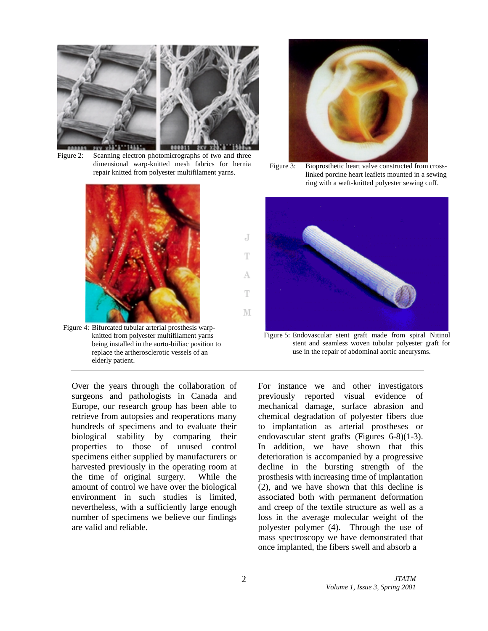

Figure 2: Scanning electron photomicrographs of two and three dimensional warp-knitted mesh fabrics for hernia repair knitted from polyester multifilament yarns.



Figure 4: Bifurcated tubular arterial prosthesis warpknitted from polyester multifilament yarns being installed in the aorto-biiliac position to replace the artherosclerotic vessels of an elderly patient.

Over the years through the collaboration of surgeons and pathologists in Canada and Europe, our research group has been able to retrieve from autopsies and reoperations many hundreds of specimens and to evaluate their biological stability by comparing their properties to those of unused control specimens either supplied by manufacturers or harvested previously in the operating room at the time of original surgery. While the amount of control we have over the biological environment in such studies is limited, nevertheless, with a sufficiently large enough number of specimens we believe our findings are valid and reliable.



Figure 3: Bioprosthetic heart valve constructed from crosslinked porcine heart leaflets mounted in a sewing ring with a weft-knitted polyester sewing cuff.



Figure 5: Endovascular stent graft made from spiral Nitinol stent and seamless woven tubular polyester graft for use in the repair of abdominal aortic aneurysms.

For instance we and other investigators previously reported visual evidence of mechanical damage, surface abrasion and chemical degradation of polyester fibers due to implantation as arterial prostheses or endovascular stent grafts (Figures 6-8)(1-3). In addition, we have shown that this deterioration is accompanied by a progressive decline in the bursting strength of the prosthesis with increasing time of implantation (2), and we have shown that this decline is associated both with permanent deformation and creep of the textile structure as well as a loss in the average molecular weight of the polyester polymer (4). Through the use of mass spectroscopy we have demonstrated that once implanted, the fibers swell and absorb a

J

Ŧ

А

T

M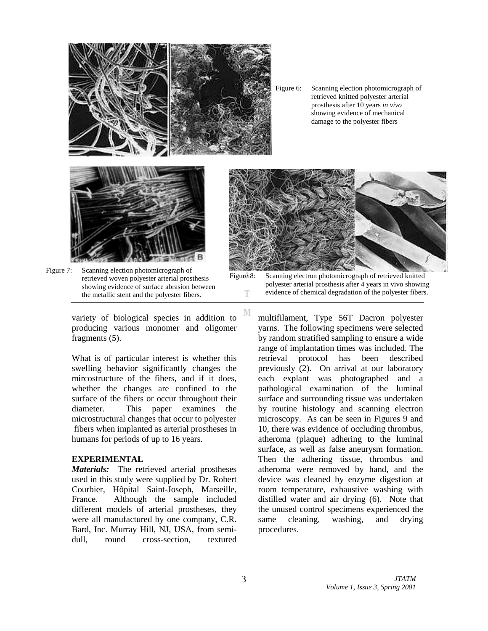

Figure 7: Scanning election photomicrograph of retrieved woven polyester arterial prosthesis showing evidence of surface abrasion between the metallic stent and the polyester fibers.

variety of biological species in addition to producing various monomer and oligomer fragments (5).

What is of particular interest is whether this swelling behavior significantly changes the mircostructure of the fibers, and if it does, whether the changes are confined to the surface of the fibers or occur throughout their diameter. This paper examines the microstructural changes that occur to polyester fibers when implanted as arterial prostheses in humans for periods of up to 16 years.

#### **EXPERIMENTAL**

*Materials:* The retrieved arterial prostheses used in this study were supplied by Dr. Robert Courbier, Hôpital Saint-Joseph, Marseille, France. Although the sample included different models of arterial prostheses, they were all manufactured by one company, C.R. Bard, Inc. Murray Hill, NJ, USA, from semidull, round cross-section, textured

Figure 6: Scanning election photomicrograph of retrieved knitted polyester arterial prosthesis after 10 years *in vivo* showing evidence of mechanical damage to the polyester fibers



Figure 8: Scanning electron photomicrograph of retrieved knitted polyester arterial prosthesis after 4 years in vivo showing evidence of chemical degradation of the polyester fibers. T

multifilament, Type 56T Dacron polyester yarns. The following specimens were selected by random stratified sampling to ensure a wide range of implantation times was included. The retrieval protocol has been described previously (2). On arrival at our laboratory each explant was photographed and a pathological examination of the luminal surface and surrounding tissue was undertaken by routine histology and scanning electron microscopy. As can be seen in Figures 9 and 10, there was evidence of occluding thrombus, atheroma (plaque) adhering to the luminal surface, as well as false aneurysm formation. Then the adhering tissue, thrombus and atheroma were removed by hand, and the device was cleaned by enzyme digestion at room temperature, exhaustive washing with distilled water and air drying (6). Note that the unused control specimens experienced the same cleaning, washing, and drying procedures.

M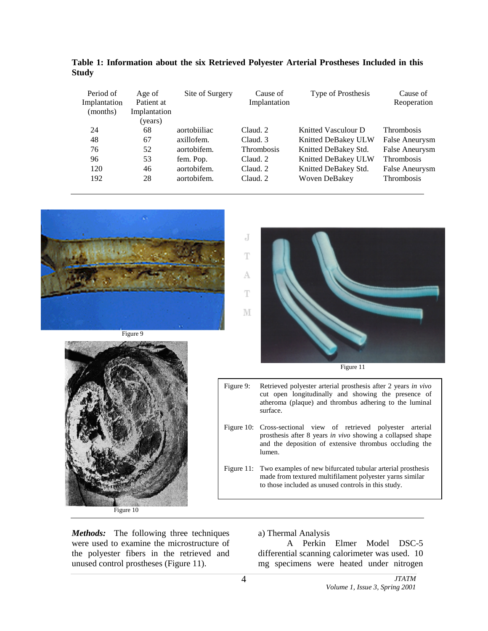| Period of<br>Implantation<br>(months) | Age of<br>Patient at<br>Implantation<br>(years) | Site of Surgery | Cause of<br>Implantation | Type of Prosthesis   | Cause of<br>Reoperation |
|---------------------------------------|-------------------------------------------------|-----------------|--------------------------|----------------------|-------------------------|
| 24                                    | 68                                              | aortobiiliac    | Claud. 2                 | Knitted Vasculour D  | <b>Thrombosis</b>       |
| 48                                    | 67                                              | axillofem.      | Claud. 3                 | Knitted DeBakey ULW  | False Aneurysm          |
| 76                                    | 52                                              | aortobifem.     | <b>Thrombosis</b>        | Knitted DeBakey Std. | False Aneurysm          |
| 96                                    | 53                                              | fem. Pop.       | Claud. 2                 | Knitted DeBakey ULW  | <b>Thrombosis</b>       |
| 120                                   | 46                                              | aortobifem.     | Claud. 2                 | Knitted DeBakey Std. | False Aneurysm          |
| 192                                   | 28                                              | aortobifem.     | Claud. 2                 | Woven DeBakey        | Thrombosis              |

**Table 1: Information about the six Retrieved Polyester Arterial Prostheses Included in this Study**









- and the deposition of extensive thrombus occluding the lumen. Figure 11: Two examples of new bifurcated tubular arterial prosthesis
	- made from textured multifilament polyester yarns similar to those included as unused controls in this study.

*Methods:* The following three techniques were used to examine the microstructure of the polyester fibers in the retrieved and unused control prostheses (Figure 11).

### a) Thermal Analysis

A Perkin Elmer Model DSC-5 differential scanning calorimeter was used. 10 mg specimens were heated under nitrogen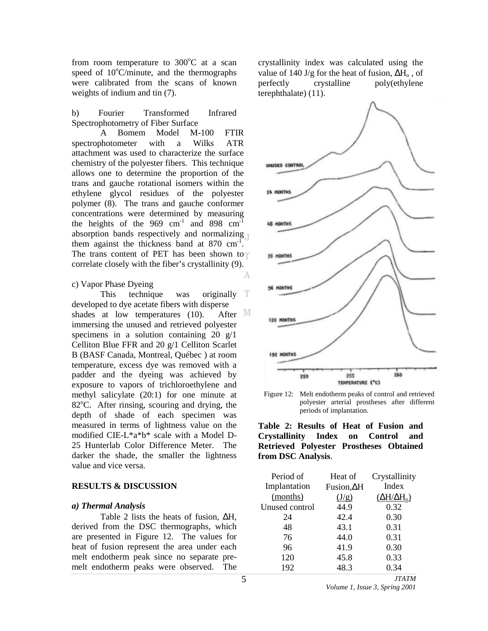from room temperature to  $300^{\circ}$ C at a scan speed of  $10^{\circ}$ C/minute, and the thermographs were calibrated from the scans of known weights of indium and tin (7).

b) Fourier Transformed Infrared Spectrophotometry of Fiber Surface

A Bomem Model M-100 FTIR spectrophotometer with a Wilks ATR attachment was used to characterize the surface chemistry of the polyester fibers. This technique allows one to determine the proportion of the trans and gauche rotational isomers within the ethylene glycol residues of the polyester polymer (8). The trans and gauche conformer concentrations were determined by measuring the heights of the 969  $cm^{-1}$  and 898  $cm^{-1}$ absorption bands respectively and normalizing them against the thickness band at  $870 \text{ cm}^{-1}$ . The trans content of PET has been shown to correlate closely with the fiber's crystallinity (9).

#### c) Vapor Phase Dyeing

This technique was originally T developed to dye acetate fibers with disperse shades at low temperatures (10). After  $\mathbb M$ immersing the unused and retrieved polyester specimens in a solution containing  $20 \text{ g}/1$ Celliton Blue FFR and 20 g/1 Celliton Scarlet B (BASF Canada, Montreal, Québec ) at room temperature, excess dye was removed with a padder and the dyeing was achieved by exposure to vapors of trichloroethylene and methyl salicylate (20:1) for one minute at 82°C. After rinsing, scouring and drying, the depth of shade of each specimen was measured in terms of lightness value on the modified CIE-L\*a\*b\* scale with a Model D-25 Hunterlab Color Difference Meter. The darker the shade, the smaller the lightness value and vice versa.

### **RESULTS & DISCUSSION**

#### *a) Thermal Analysis*

Table 2 lists the heats of fusion, ∆H, derived from the DSC thermographs, which are presented in Figure 12. The values for heat of fusion represent the area under each melt endotherm peak since no separate premelt endotherm peaks were observed. The

crystallinity index was calculated using the value of 140 J/g for the heat of fusion,  $\Delta H_0$ , of perfectly crystalline poly(ethylene poly(ethylene terephthalate) (11).



Figure 12: Melt endotherm peaks of control and retrieved polyester arterial prostheses after different periods of implantation.



| Period of      | Heat of           | Crystallinity           |
|----------------|-------------------|-------------------------|
| Implantation   | $Fusion,\Delta H$ | Index                   |
| (months)       | (J/g)             | $(\Delta H/\Delta H_0)$ |
| Unused control | 44.9              | 0.32                    |
| 24             | 42.4              | 0.30                    |
| 48             | 43.1              | 0.31                    |
| 76             | 44.0              | 0.31                    |
| 96             | 41.9              | 0.30                    |
| 120            | 45.8              | 0.33                    |
| 192            | 48.3              | 0.34                    |
|                |                   | <i>JIATM</i>            |

A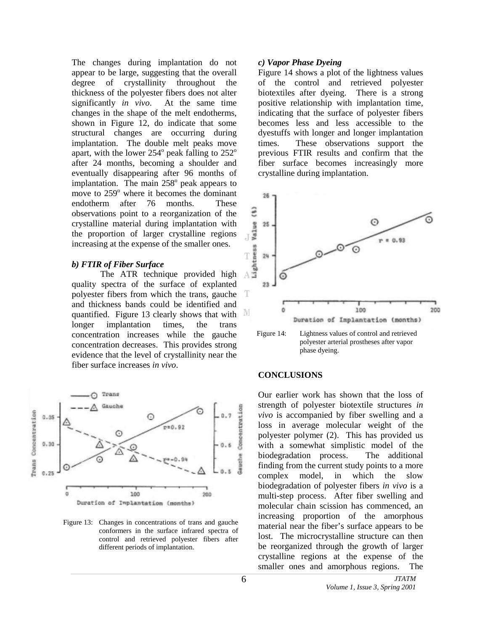The changes during implantation do not appear to be large, suggesting that the overall degree of crystallinity throughout the thickness of the polyester fibers does not alter significantly *in vivo*. At the same time changes in the shape of the melt endotherms, shown in Figure 12, do indicate that some structural changes are occurring during implantation. The double melt peaks move apart, with the lower  $254^\circ$  peak falling to  $252^\circ$ after 24 months, becoming a shoulder and eventually disappearing after 96 months of implantation. The main  $258^\circ$  peak appears to move to 259° where it becomes the dominant endotherm after 76 months. These observations point to a reorganization of the crystalline material during implantation with the proportion of larger crystalline regions increasing at the expense of the smaller ones.

#### *b) FTIR of Fiber Surface*

The ATR technique provided high quality spectra of the surface of explanted polyester fibers from which the trans, gauche and thickness bands could be identified and quantified. Figure 13 clearly shows that with M longer implantation times, the trans concentration increases while the gauche concentration decreases. This provides strong evidence that the level of crystallinity near the fiber surface increases *in vivo*.



Figure 13: Changes in concentrations of trans and gauche conformers in the surface infrared spectra of control and retrieved polyester fibers after different periods of implantation.

### *c) Vapor Phase Dyeing*

Figure 14 shows a plot of the lightness values of the control and retrieved polyester biotextiles after dyeing. There is a strong positive relationship with implantation time, indicating that the surface of polyester fibers becomes less and less accessible to the dyestuffs with longer and longer implantation times. These observations support the previous FTIR results and confirm that the fiber surface becomes increasingly more crystalline during implantation.





#### **CONCLUSIONS**

Our earlier work has shown that the loss of strength of polyester biotextile structures *in vivo* is accompanied by fiber swelling and a loss in average molecular weight of the polyester polymer (2). This has provided us with a somewhat simplistic model of the biodegradation process. The additional finding from the current study points to a more complex model, in which the slow biodegradation of polyester fibers *in vivo* is a multi-step process. After fiber swelling and molecular chain scission has commenced, an increasing proportion of the amorphous material near the fiber's surface appears to be lost. The microcrystalline structure can then be reorganized through the growth of larger crystalline regions at the expense of the smaller ones and amorphous regions. The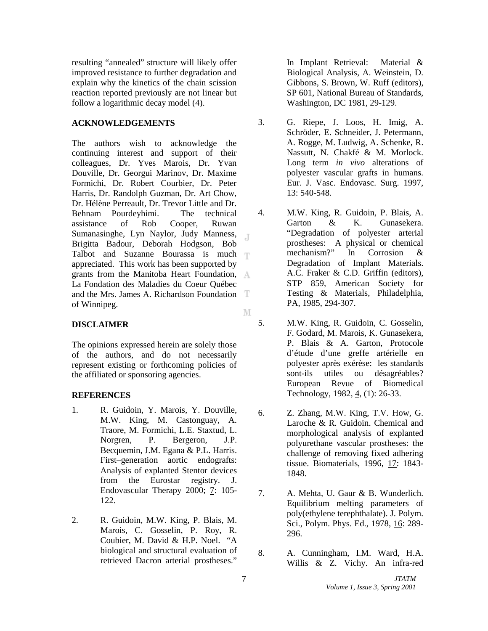resulting "annealed" structure will likely offer improved resistance to further degradation and explain why the kinetics of the chain scission reaction reported previously are not linear but follow a logarithmic decay model (4).

# **ACKNOWLEDGEMENTS**

The authors wish to acknowledge the continuing interest and support of their colleagues, Dr. Yves Marois, Dr. Yvan Douville, Dr. Georgui Marinov, Dr. Maxime Formichi, Dr. Robert Courbier, Dr. Peter Harris, Dr. Randolph Guzman, Dr. Art Chow, Dr. Hélène Perreault, Dr. Trevor Little and Dr. Behnam Pourdeyhimi. The technical assistance of Rob Cooper, Ruwan Sumanasinghe, Lyn Naylor, Judy Manness,  $\overline{A}$ Brigitta Badour, Deborah Hodgson, Bob Talbot and Suzanne Bourassa is much  $\top$ appreciated. This work has been supported by grants from the Manitoba Heart Foundation, La Fondation des Maladies du Coeur Québec and the Mrs. James A. Richardson Foundation of Winnipeg. M

# **DISCLAIMER**

The opinions expressed herein are solely those of the authors, and do not necessarily represent existing or forthcoming policies of the affiliated or sponsoring agencies.

# **REFERENCES**

- 1. R. Guidoin, Y. Marois, Y. Douville, M.W. King, M. Castonguay, A. Traore, M. Formichi, L.E. Staxtud, L. Norgren, P. Bergeron, J.P. Becquemin, J.M. Egana & P.L. Harris. First–generation aortic endografts: Analysis of explanted Stentor devices from the Eurostar registry. J. Endovascular Therapy 2000; 7: 105-122.
- 2. R. Guidoin, M.W. King, P. Blais, M. Marois, C. Gosselin, P. Roy, R. Coubier, M. David & H.P. Noel. "A biological and structural evaluation of retrieved Dacron arterial prostheses."

In Implant Retrieval: Material & Biological Analysis, A. Weinstein, D. Gibbons, S. Brown, W. Ruff (editors), SP 601, National Bureau of Standards, Washington, DC 1981, 29-129.

- 3. G. Riepe, J. Loos, H. Imig, A. Schröder, E. Schneider, J. Petermann, A. Rogge, M. Ludwig, A. Schenke, R. Nassutt, N. Chakfé & M. Morlock. Long term *in vivo* alterations of polyester vascular grafts in humans. Eur. J. Vasc. Endovasc. Surg. 1997, 13: 540-548.
- 4. M.W. King, R. Guidoin, P. Blais, A. Garton & K. Gunasekera. "Degradation of polyester arterial prostheses: A physical or chemical mechanism?" In Corrosion & Degradation of Implant Materials. A.C. Fraker & C.D. Griffin (editors), STP 859, American Society for Testing & Materials, Philadelphia, PA, 1985, 294-307.
- 5. M.W. King, R. Guidoin, C. Gosselin, F. Godard, M. Marois, K. Gunasekera, P. Blais & A. Garton, Protocole d'étude d'une greffe artérielle en polyester après exérèse: les standards sont-ils utiles ou désagréables? European Revue of Biomedical Technology, 1982, 4, (1): 26-33.
- 6. Z. Zhang, M.W. King, T.V. How, G. Laroche & R. Guidoin. Chemical and morphological analysis of explanted polyurethane vascular prostheses: the challenge of removing fixed adhering tissue. Biomaterials, 1996, 17: 1843- 1848.
- 7. A. Mehta, U. Gaur & B. Wunderlich. Equilibrium melting parameters of poly(ethylene terephthalate). J. Polym. Sci., Polym. Phys. Ed., 1978, 16: 289- 296.
- 8. A. Cunningham, I.M. Ward, H.A. Willis & Z. Vichy. An infra-red